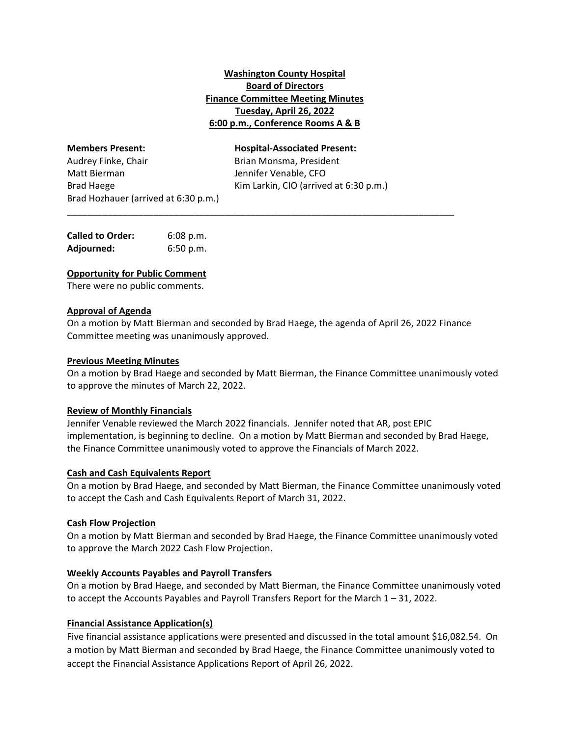# **Washington County Hospital Board of Directors Finance Committee Meeting Minutes Tuesday, April 26, 2022 6:00 p.m., Conference Rooms A & B**

**Members Present: Hospital‐Associated Present:** Audrey Finke, Chair **Brian Monsma, President** Matt Bierman Jennifer Venable, CFO Brad Hozhauer (arrived at 6:30 p.m.)

Brad Haege *Brad Haege*  **Example 20 Kim Larkin, CIO (arrived at 6:30 p.m.)** 

| <b>Called to Order:</b> | $6:08$ p.m. |
|-------------------------|-------------|
| Adjourned:              | 6:50 p.m.   |

### **Opportunity for Public Comment**

There were no public comments.

### **Approval of Agenda**

On a motion by Matt Bierman and seconded by Brad Haege, the agenda of April 26, 2022 Finance Committee meeting was unanimously approved.

\_\_\_\_\_\_\_\_\_\_\_\_\_\_\_\_\_\_\_\_\_\_\_\_\_\_\_\_\_\_\_\_\_\_\_\_\_\_\_\_\_\_\_\_\_\_\_\_\_\_\_\_\_\_\_\_\_\_\_\_\_\_\_\_\_\_\_\_\_\_\_\_\_\_\_\_

### **Previous Meeting Minutes**

On a motion by Brad Haege and seconded by Matt Bierman, the Finance Committee unanimously voted to approve the minutes of March 22, 2022.

### **Review of Monthly Financials**

Jennifer Venable reviewed the March 2022 financials. Jennifer noted that AR, post EPIC implementation, is beginning to decline. On a motion by Matt Bierman and seconded by Brad Haege, the Finance Committee unanimously voted to approve the Financials of March 2022.

### **Cash and Cash Equivalents Report**

On a motion by Brad Haege, and seconded by Matt Bierman, the Finance Committee unanimously voted to accept the Cash and Cash Equivalents Report of March 31, 2022.

#### **Cash Flow Projection**

On a motion by Matt Bierman and seconded by Brad Haege, the Finance Committee unanimously voted to approve the March 2022 Cash Flow Projection.

### **Weekly Accounts Payables and Payroll Transfers**

On a motion by Brad Haege, and seconded by Matt Bierman, the Finance Committee unanimously voted to accept the Accounts Payables and Payroll Transfers Report for the March 1 – 31, 2022.

### **Financial Assistance Application(s)**

Five financial assistance applications were presented and discussed in the total amount \$16,082.54. On a motion by Matt Bierman and seconded by Brad Haege, the Finance Committee unanimously voted to accept the Financial Assistance Applications Report of April 26, 2022.